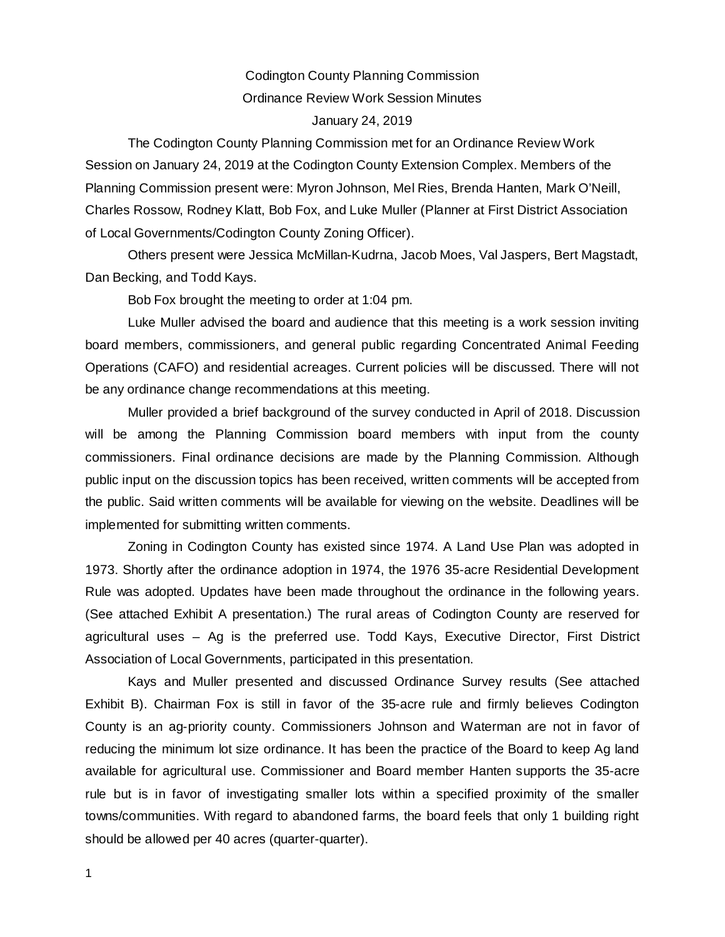## Codington County Planning Commission Ordinance Review Work Session Minutes January 24, 2019

The Codington County Planning Commission met for an Ordinance Review Work Session on January 24, 2019 at the Codington County Extension Complex. Members of the Planning Commission present were: Myron Johnson, Mel Ries, Brenda Hanten, Mark O'Neill, Charles Rossow, Rodney Klatt, Bob Fox, and Luke Muller (Planner at First District Association of Local Governments/Codington County Zoning Officer).

Others present were Jessica McMillan-Kudrna, Jacob Moes, Val Jaspers, Bert Magstadt, Dan Becking, and Todd Kays.

Bob Fox brought the meeting to order at 1:04 pm.

Luke Muller advised the board and audience that this meeting is a work session inviting board members, commissioners, and general public regarding Concentrated Animal Feeding Operations (CAFO) and residential acreages. Current policies will be discussed. There will not be any ordinance change recommendations at this meeting.

Muller provided a brief background of the survey conducted in April of 2018. Discussion will be among the Planning Commission board members with input from the county commissioners. Final ordinance decisions are made by the Planning Commission. Although public input on the discussion topics has been received, written comments will be accepted from the public. Said written comments will be available for viewing on the website. Deadlines will be implemented for submitting written comments.

Zoning in Codington County has existed since 1974. A Land Use Plan was adopted in 1973. Shortly after the ordinance adoption in 1974, the 1976 35-acre Residential Development Rule was adopted. Updates have been made throughout the ordinance in the following years. (See attached Exhibit A presentation.) The rural areas of Codington County are reserved for agricultural uses – Ag is the preferred use. Todd Kays, Executive Director, First District Association of Local Governments, participated in this presentation.

Kays and Muller presented and discussed Ordinance Survey results (See attached Exhibit B). Chairman Fox is still in favor of the 35-acre rule and firmly believes Codington County is an ag-priority county. Commissioners Johnson and Waterman are not in favor of reducing the minimum lot size ordinance. It has been the practice of the Board to keep Ag land available for agricultural use. Commissioner and Board member Hanten supports the 35-acre rule but is in favor of investigating smaller lots within a specified proximity of the smaller towns/communities. With regard to abandoned farms, the board feels that only 1 building right should be allowed per 40 acres (quarter-quarter).